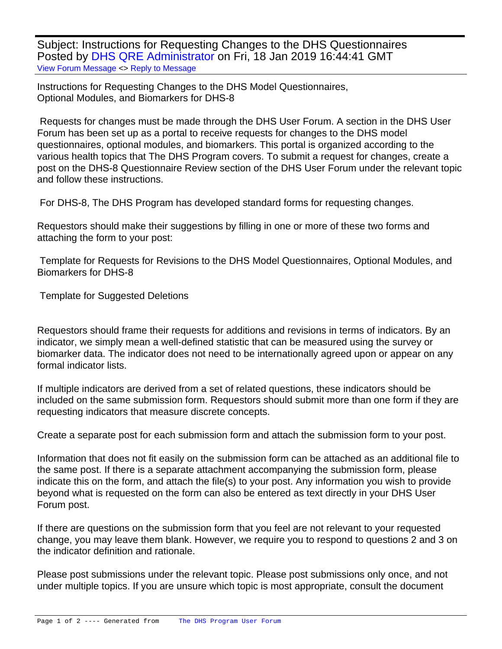Subject: Instructions for Requesting Changes to the DHS Questionnaires Posted by [DHS QRE Administrator](https://userforum.dhsprogram.com/index.php?t=usrinfo&id=7191) on Fri, 18 Jan 2019 16:44:41 GMT [View Forum Message](https://userforum.dhsprogram.com/index.php?t=rview&th=7694&goto=16538#msg_16538) <> [Reply to Message](https://userforum.dhsprogram.com/index.php?t=post&reply_to=16538)

Instructions for Requesting Changes to the DHS Model Questionnaires, Optional Modules, and Biomarkers for DHS-8

 Requests for changes must be made through the DHS User Forum. A section in the DHS User Forum has been set up as a portal to receive requests for changes to the DHS model questionnaires, optional modules, and biomarkers. This portal is organized according to the various health topics that The DHS Program covers. To submit a request for changes, create a post on the DHS-8 Questionnaire Review section of the DHS User Forum under the relevant topic and follow these instructions.

For DHS-8, The DHS Program has developed standard forms for requesting changes.

Requestors should make their suggestions by filling in one or more of these two forms and attaching the form to your post:

 Template for Requests for Revisions to the DHS Model Questionnaires, Optional Modules, and Biomarkers for DHS-8

Template for Suggested Deletions

Requestors should frame their requests for additions and revisions in terms of indicators. By an indicator, we simply mean a well-defined statistic that can be measured using the survey or biomarker data. The indicator does not need to be internationally agreed upon or appear on any formal indicator lists.

If multiple indicators are derived from a set of related questions, these indicators should be included on the same submission form. Requestors should submit more than one form if they are requesting indicators that measure discrete concepts.

Create a separate post for each submission form and attach the submission form to your post.

Information that does not fit easily on the submission form can be attached as an additional file to the same post. If there is a separate attachment accompanying the submission form, please indicate this on the form, and attach the file(s) to your post. Any information you wish to provide beyond what is requested on the form can also be entered as text directly in your DHS User Forum post.

If there are questions on the submission form that you feel are not relevant to your requested change, you may leave them blank. However, we require you to respond to questions 2 and 3 on the indicator definition and rationale.

Please post submissions under the relevant topic. Please post submissions only once, and not under multiple topics. If you are unsure which topic is most appropriate, consult the document